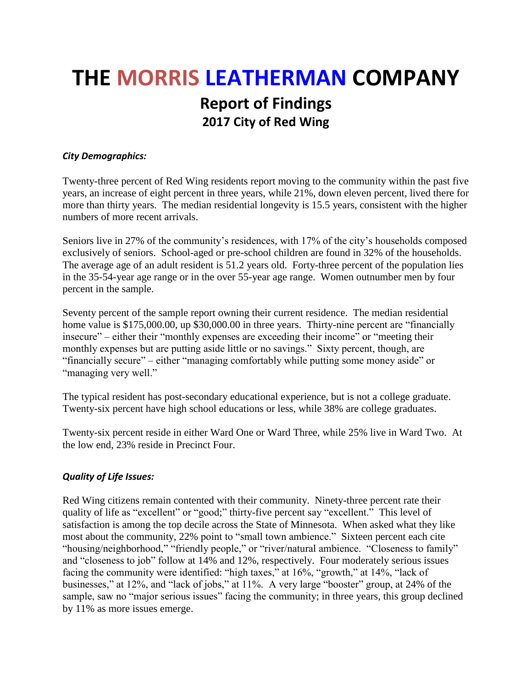# **THE MORRIS LEATHERMAN COMPANY Report of Findings 2017 City of Red Wing**

# *City Demographics:*

Twenty-three percent of Red Wing residents report moving to the community within the past five years, an increase of eight percent in three years, while 21%, down eleven percent, lived there for more than thirty years. The median residential longevity is 15.5 years, consistent with the higher numbers of more recent arrivals.

Seniors live in 27% of the community's residences, with 17% of the city's households composed exclusively of seniors. School-aged or pre-school children are found in 32% of the households. The average age of an adult resident is 51.2 years old. Forty-three percent of the population lies in the 35-54-year age range or in the over 55-year age range. Women outnumber men by four percent in the sample.

Seventy percent of the sample report owning their current residence. The median residential home value is \$175,000.00, up \$30,000.00 in three years. Thirty-nine percent are "financially insecure" – either their "monthly expenses are exceeding their income" or "meeting their monthly expenses but are putting aside little or no savings." Sixty percent, though, are "financially secure" – either "managing comfortably while putting some money aside" or "managing very well."

The typical resident has post-secondary educational experience, but is not a college graduate. Twenty-six percent have high school educations or less, while 38% are college graduates.

Twenty-six percent reside in either Ward One or Ward Three, while 25% live in Ward Two. At the low end, 23% reside in Precinct Four.

# *Quality of Life Issues:*

Red Wing citizens remain contented with their community. Ninety-three percent rate their quality of life as "excellent" or "good;" thirty-five percent say "excellent." This level of satisfaction is among the top decile across the State of Minnesota. When asked what they like most about the community, 22% point to "small town ambience." Sixteen percent each cite "housing/neighborhood," "friendly people," or "river/natural ambience. "Closeness to family" and "closeness to job" follow at 14% and 12%, respectively. Four moderately serious issues facing the community were identified: "high taxes," at 16%, "growth," at 14%, "lack of businesses," at 12%, and "lack of jobs," at 11%. A very large "booster" group, at 24% of the sample, saw no "major serious issues" facing the community; in three years, this group declined by 11% as more issues emerge.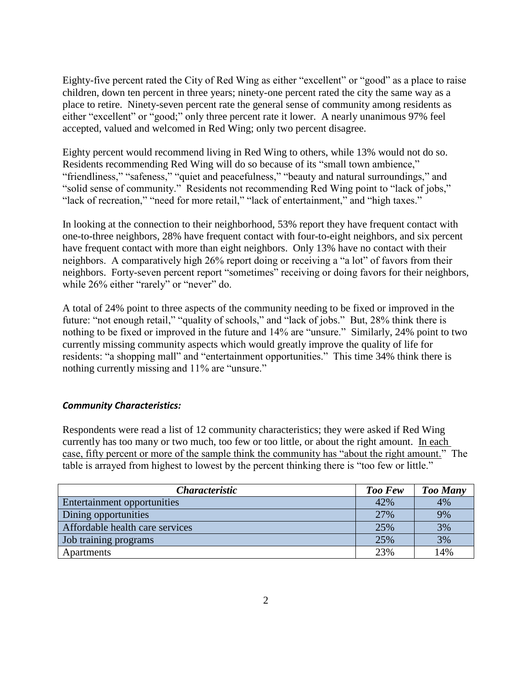Eighty-five percent rated the City of Red Wing as either "excellent" or "good" as a place to raise children, down ten percent in three years; ninety-one percent rated the city the same way as a place to retire. Ninety-seven percent rate the general sense of community among residents as either "excellent" or "good;" only three percent rate it lower. A nearly unanimous 97% feel accepted, valued and welcomed in Red Wing; only two percent disagree.

Eighty percent would recommend living in Red Wing to others, while 13% would not do so. Residents recommending Red Wing will do so because of its "small town ambience," "friendliness," "safeness," "quiet and peacefulness," "beauty and natural surroundings," and "solid sense of community." Residents not recommending Red Wing point to "lack of jobs," "lack of recreation," "need for more retail," "lack of entertainment," and "high taxes."

In looking at the connection to their neighborhood, 53% report they have frequent contact with one-to-three neighbors, 28% have frequent contact with four-to-eight neighbors, and six percent have frequent contact with more than eight neighbors. Only 13% have no contact with their neighbors. A comparatively high 26% report doing or receiving a "a lot" of favors from their neighbors. Forty-seven percent report "sometimes" receiving or doing favors for their neighbors, while 26% either "rarely" or "never" do.

A total of 24% point to three aspects of the community needing to be fixed or improved in the future: "not enough retail," "quality of schools," and "lack of jobs." But, 28% think there is nothing to be fixed or improved in the future and 14% are "unsure." Similarly, 24% point to two currently missing community aspects which would greatly improve the quality of life for residents: "a shopping mall" and "entertainment opportunities." This time 34% think there is nothing currently missing and 11% are "unsure."

# *Community Characteristics:*

Respondents were read a list of 12 community characteristics; they were asked if Red Wing currently has too many or two much, too few or too little, or about the right amount. In each case, fifty percent or more of the sample think the community has "about the right amount." The table is arrayed from highest to lowest by the percent thinking there is "too few or little."

| <i>Characteristic</i>           | Too Few | <b>Too Many</b> |
|---------------------------------|---------|-----------------|
| Entertainment opportunities     | 42%     | 4%              |
| Dining opportunities            | 27%     | 9%              |
| Affordable health care services | 25%     | 3%              |
| Job training programs           | 25%     | 3%              |
| Apartments                      | 23%     | 14%             |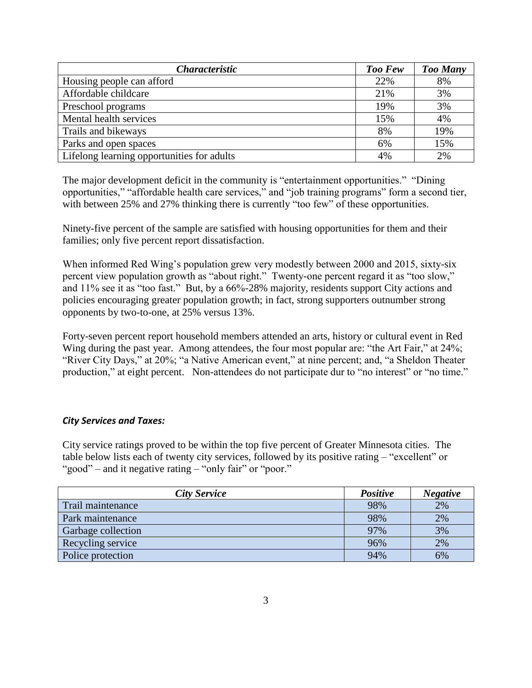| <i><b>Characteristic</b></i>               | <b>Too Few</b> | <b>Too Many</b> |
|--------------------------------------------|----------------|-----------------|
| Housing people can afford                  | 22%            | 8%              |
| Affordable childcare                       | 21%            | 3%              |
| Preschool programs                         | 19%            | 3%              |
| Mental health services                     | 15%            | 4%              |
| Trails and bikeways                        | 8%             | 19%             |
| Parks and open spaces                      | 6%             | 15%             |
| Lifelong learning opportunities for adults | 4%             | 2%              |

The major development deficit in the community is "entertainment opportunities." "Dining opportunities," "affordable health care services," and "job training programs" form a second tier, with between 25% and 27% thinking there is currently "too few" of these opportunities.

Ninety-five percent of the sample are satisfied with housing opportunities for them and their families; only five percent report dissatisfaction.

When informed Red Wing's population grew very modestly between 2000 and 2015, sixty-six percent view population growth as "about right." Twenty-one percent regard it as "too slow," and 11% see it as "too fast." But, by a 66%-28% majority, residents support City actions and policies encouraging greater population growth; in fact, strong supporters outnumber strong opponents by two-to-one, at 25% versus 13%.

Forty-seven percent report household members attended an arts, history or cultural event in Red Wing during the past year. Among attendees, the four most popular are: "the Art Fair," at 24%; "River City Days," at 20%; "a Native American event," at nine percent; and, "a Sheldon Theater production," at eight percent. Non-attendees do not participate dur to "no interest" or "no time."

# *City Services and Taxes:*

City service ratings proved to be within the top five percent of Greater Minnesota cities. The table below lists each of twenty city services, followed by its positive rating – "excellent" or "good" – and it negative rating – "only fair" or "poor."

| <b>City Service</b> | <b>Positive</b> | <b>Negative</b> |
|---------------------|-----------------|-----------------|
| Trail maintenance   | 98%             | 2%              |
| Park maintenance    | 98%             | 2%              |
| Garbage collection  | 97%             | 3%              |
| Recycling service   | 96%             | 2%              |
| Police protection   | 94%             | 6%              |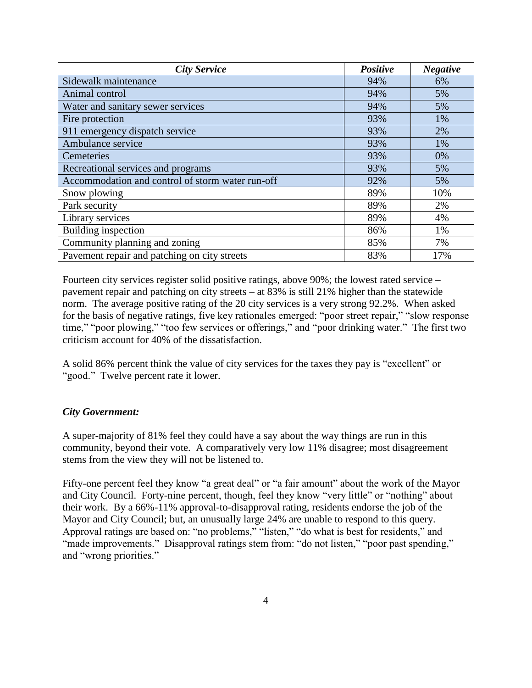| <b>City Service</b>                              | Positive | <b>Negative</b> |
|--------------------------------------------------|----------|-----------------|
| Sidewalk maintenance                             | 94%      | 6%              |
| Animal control                                   | 94%      | 5%              |
| Water and sanitary sewer services                | 94%      | 5%              |
| Fire protection                                  | 93%      | 1%              |
| 911 emergency dispatch service                   | 93%      | 2%              |
| Ambulance service                                | 93%      | 1%              |
| Cemeteries                                       | 93%      | 0%              |
| Recreational services and programs               | 93%      | 5%              |
| Accommodation and control of storm water run-off | 92%      | 5%              |
| Snow plowing                                     | 89%      | 10%             |
| Park security                                    | 89%      | 2%              |
| Library services                                 | 89%      | 4%              |
| Building inspection                              | 86%      | 1%              |
| Community planning and zoning                    | 85%      | 7%              |
| Pavement repair and patching on city streets     | 83%      | 17%             |

Fourteen city services register solid positive ratings, above 90%; the lowest rated service – pavement repair and patching on city streets – at 83% is still 21% higher than the statewide norm. The average positive rating of the 20 city services is a very strong 92.2%. When asked for the basis of negative ratings, five key rationales emerged: "poor street repair," "slow response time," "poor plowing," "too few services or offerings," and "poor drinking water." The first two criticism account for 40% of the dissatisfaction.

A solid 86% percent think the value of city services for the taxes they pay is "excellent" or "good." Twelve percent rate it lower.

# *City Government:*

A super-majority of 81% feel they could have a say about the way things are run in this community, beyond their vote. A comparatively very low 11% disagree; most disagreement stems from the view they will not be listened to.

Fifty-one percent feel they know "a great deal" or "a fair amount" about the work of the Mayor and City Council. Forty-nine percent, though, feel they know "very little" or "nothing" about their work. By a 66%-11% approval-to-disapproval rating, residents endorse the job of the Mayor and City Council; but, an unusually large 24% are unable to respond to this query. Approval ratings are based on: "no problems," "listen," "do what is best for residents," and "made improvements." Disapproval ratings stem from: "do not listen," "poor past spending," and "wrong priorities."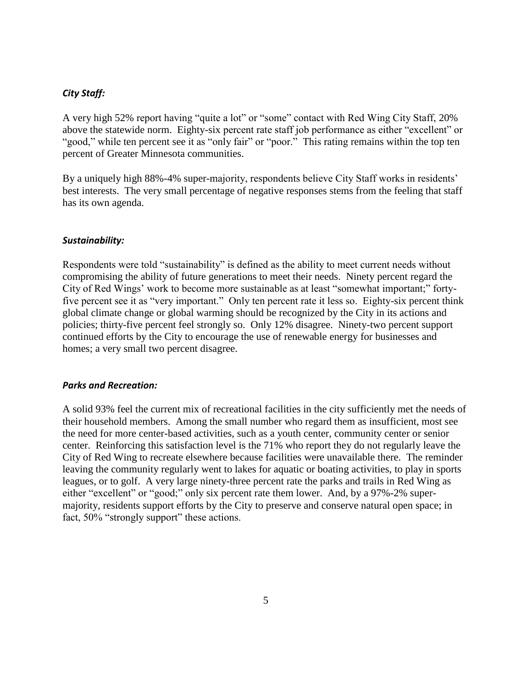## *City Staff:*

A very high 52% report having "quite a lot" or "some" contact with Red Wing City Staff, 20% above the statewide norm. Eighty-six percent rate staff job performance as either "excellent" or "good," while ten percent see it as "only fair" or "poor." This rating remains within the top ten percent of Greater Minnesota communities.

By a uniquely high 88%-4% super-majority, respondents believe City Staff works in residents' best interests. The very small percentage of negative responses stems from the feeling that staff has its own agenda.

#### *Sustainability:*

Respondents were told "sustainability" is defined as the ability to meet current needs without compromising the ability of future generations to meet their needs. Ninety percent regard the City of Red Wings' work to become more sustainable as at least "somewhat important;" fortyfive percent see it as "very important." Only ten percent rate it less so. Eighty-six percent think global climate change or global warming should be recognized by the City in its actions and policies; thirty-five percent feel strongly so. Only 12% disagree. Ninety-two percent support continued efforts by the City to encourage the use of renewable energy for businesses and homes; a very small two percent disagree.

#### *Parks and Recreation:*

A solid 93% feel the current mix of recreational facilities in the city sufficiently met the needs of their household members. Among the small number who regard them as insufficient, most see the need for more center-based activities, such as a youth center, community center or senior center. Reinforcing this satisfaction level is the 71% who report they do not regularly leave the City of Red Wing to recreate elsewhere because facilities were unavailable there. The reminder leaving the community regularly went to lakes for aquatic or boating activities, to play in sports leagues, or to golf. A very large ninety-three percent rate the parks and trails in Red Wing as either "excellent" or "good;" only six percent rate them lower. And, by a 97%-2% supermajority, residents support efforts by the City to preserve and conserve natural open space; in fact, 50% "strongly support" these actions.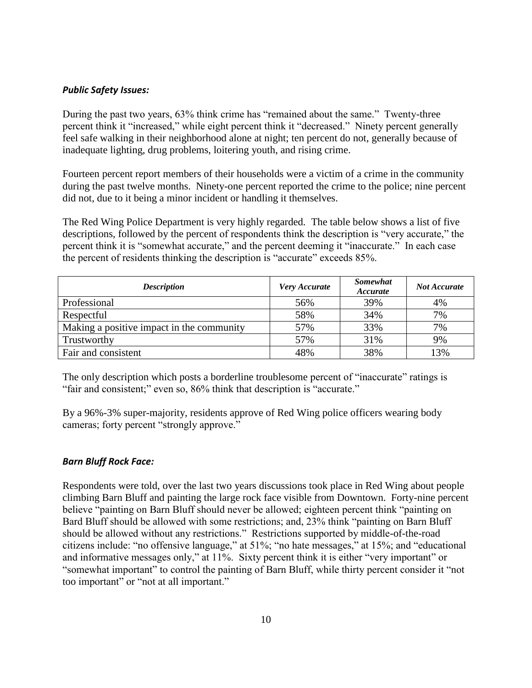## *Public Safety Issues:*

During the past two years, 63% think crime has "remained about the same." Twenty-three percent think it "increased," while eight percent think it "decreased." Ninety percent generally feel safe walking in their neighborhood alone at night; ten percent do not, generally because of inadequate lighting, drug problems, loitering youth, and rising crime.

Fourteen percent report members of their households were a victim of a crime in the community during the past twelve months. Ninety-one percent reported the crime to the police; nine percent did not, due to it being a minor incident or handling it themselves.

The Red Wing Police Department is very highly regarded. The table below shows a list of five descriptions, followed by the percent of respondents think the description is "very accurate," the percent think it is "somewhat accurate," and the percent deeming it "inaccurate." In each case the percent of residents thinking the description is "accurate" exceeds 85%.

| <b>Description</b>                        | Very Accurate | <b>Somewhat</b><br>Accurate | <b>Not Accurate</b> |
|-------------------------------------------|---------------|-----------------------------|---------------------|
| Professional                              | 56%           | 39%                         | 4%                  |
| Respectful                                | 58%           | 34%                         | 7%                  |
| Making a positive impact in the community | 57%           | 33%                         | 7%                  |
| Trustworthy                               | 57%           | 31%                         | 9%                  |
| Fair and consistent                       | 48%           | 38%                         | 13%                 |

The only description which posts a borderline troublesome percent of "inaccurate" ratings is "fair and consistent;" even so, 86% think that description is "accurate."

By a 96%-3% super-majority, residents approve of Red Wing police officers wearing body cameras; forty percent "strongly approve."

# *Barn Bluff Rock Face:*

Respondents were told, over the last two years discussions took place in Red Wing about people climbing Barn Bluff and painting the large rock face visible from Downtown. Forty-nine percent believe "painting on Barn Bluff should never be allowed; eighteen percent think "painting on Bard Bluff should be allowed with some restrictions; and, 23% think "painting on Barn Bluff should be allowed without any restrictions." Restrictions supported by middle-of-the-road citizens include: "no offensive language," at 51%; "no hate messages," at 15%; and "educational and informative messages only," at 11%. Sixty percent think it is either "very important" or "somewhat important" to control the painting of Barn Bluff, while thirty percent consider it "not too important" or "not at all important."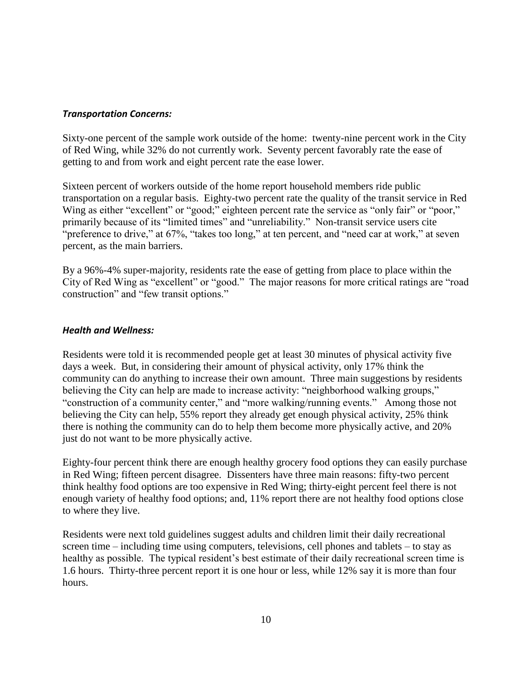## *Transportation Concerns:*

Sixty-one percent of the sample work outside of the home: twenty-nine percent work in the City of Red Wing, while 32% do not currently work. Seventy percent favorably rate the ease of getting to and from work and eight percent rate the ease lower.

Sixteen percent of workers outside of the home report household members ride public transportation on a regular basis. Eighty-two percent rate the quality of the transit service in Red Wing as either "excellent" or "good;" eighteen percent rate the service as "only fair" or "poor," primarily because of its "limited times" and "unreliability." Non-transit service users cite "preference to drive," at 67%, "takes too long," at ten percent, and "need car at work," at seven percent, as the main barriers.

By a 96%-4% super-majority, residents rate the ease of getting from place to place within the City of Red Wing as "excellent" or "good." The major reasons for more critical ratings are "road construction" and "few transit options."

## *Health and Wellness:*

Residents were told it is recommended people get at least 30 minutes of physical activity five days a week. But, in considering their amount of physical activity, only 17% think the community can do anything to increase their own amount. Three main suggestions by residents believing the City can help are made to increase activity: "neighborhood walking groups," "construction of a community center," and "more walking/running events." Among those not believing the City can help, 55% report they already get enough physical activity, 25% think there is nothing the community can do to help them become more physically active, and 20% just do not want to be more physically active.

Eighty-four percent think there are enough healthy grocery food options they can easily purchase in Red Wing; fifteen percent disagree. Dissenters have three main reasons: fifty-two percent think healthy food options are too expensive in Red Wing; thirty-eight percent feel there is not enough variety of healthy food options; and, 11% report there are not healthy food options close to where they live.

Residents were next told guidelines suggest adults and children limit their daily recreational screen time – including time using computers, televisions, cell phones and tablets – to stay as healthy as possible. The typical resident's best estimate of their daily recreational screen time is 1.6 hours. Thirty-three percent report it is one hour or less, while 12% say it is more than four hours.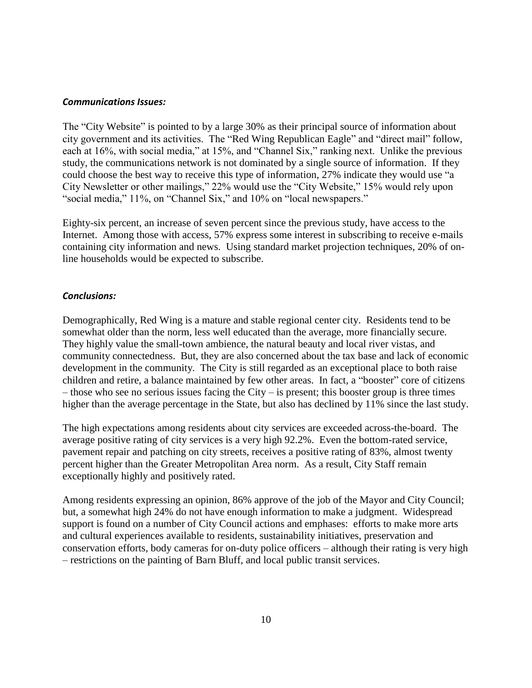#### *Communications Issues:*

The "City Website" is pointed to by a large 30% as their principal source of information about city government and its activities. The "Red Wing Republican Eagle" and "direct mail" follow, each at 16%, with social media," at 15%, and "Channel Six," ranking next. Unlike the previous study, the communications network is not dominated by a single source of information. If they could choose the best way to receive this type of information, 27% indicate they would use "a City Newsletter or other mailings," 22% would use the "City Website," 15% would rely upon "social media," 11%, on "Channel Six," and 10% on "local newspapers."

Eighty-six percent, an increase of seven percent since the previous study, have access to the Internet. Among those with access, 57% express some interest in subscribing to receive e-mails containing city information and news. Using standard market projection techniques, 20% of online households would be expected to subscribe.

### *Conclusions:*

Demographically, Red Wing is a mature and stable regional center city. Residents tend to be somewhat older than the norm, less well educated than the average, more financially secure. They highly value the small-town ambience, the natural beauty and local river vistas, and community connectedness. But, they are also concerned about the tax base and lack of economic development in the community. The City is still regarded as an exceptional place to both raise children and retire, a balance maintained by few other areas. In fact, a "booster" core of citizens – those who see no serious issues facing the City – is present; this booster group is three times higher than the average percentage in the State, but also has declined by 11% since the last study.

The high expectations among residents about city services are exceeded across-the-board. The average positive rating of city services is a very high 92.2%. Even the bottom-rated service, pavement repair and patching on city streets, receives a positive rating of 83%, almost twenty percent higher than the Greater Metropolitan Area norm. As a result, City Staff remain exceptionally highly and positively rated.

Among residents expressing an opinion, 86% approve of the job of the Mayor and City Council; but, a somewhat high 24% do not have enough information to make a judgment. Widespread support is found on a number of City Council actions and emphases: efforts to make more arts and cultural experiences available to residents, sustainability initiatives, preservation and conservation efforts, body cameras for on-duty police officers – although their rating is very high – restrictions on the painting of Barn Bluff, and local public transit services.